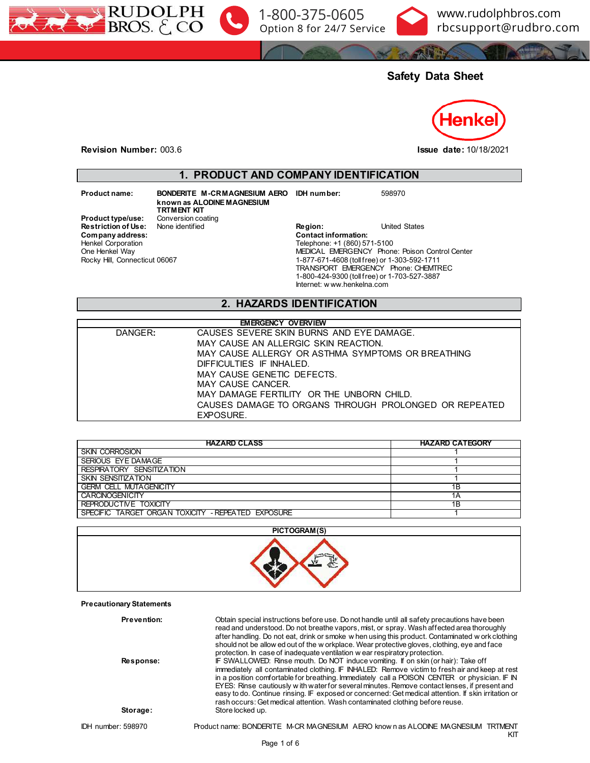



www.rudolphbros.com [rbcsupport@rudbro.com](mailto:rbcsupport%40rudbro.com?subject=technomelt%20pur%20cleaner%202%2020kg%20245517%20sds)

# **Safety Data Sheet**



**Revision Number:** 003.6 **Issue date:** 10/18/2021

### **1. PRODUCT AND COMPANY IDENTIFICATION**

 $Company address:$ Henkel Corporation One Henkel Way

Rocky Hill, Connecticut 06067

**Product name: BONDERITE M-CR MAGNESIUM AERO IDH number:** 598970 **known as ALODINE MAGNESIUM TRTMENT KIT**<br>Conversion coating **Product type/use:** Conversion coating **Restriction of Use:** None identified

**Restriction of Use:** None identified **Region:** Region: United States Company address: **Company** address: Telephone: +1 (860) 571-5100 MEDICAL EMERGENCY Phone: Poison Control Center 1-877-671-4608 (toll free) or 1-303-592-1711 TRANSPORT EMERGENCY Phone: CHEMTREC 1-800-424-9300 (toll free) or 1-703-527-3887 Internet: w ww.henkelna.com

### **2. HAZARDS IDENTIFICATION**

| <b>EMERGENCY OVERVIEW</b> |                                                       |  |  |
|---------------------------|-------------------------------------------------------|--|--|
| DANGER:                   | CAUSES SEVERE SKIN BURNS AND EYE DAMAGE.              |  |  |
|                           | MAY CAUSE AN ALLERGIC SKIN REACTION.                  |  |  |
|                           | MAY CAUSE ALLERGY OR ASTHMA SYMPTOMS OR BREATHING     |  |  |
|                           | DIFFICULTIES IF INHALED.                              |  |  |
|                           | MAY CAUSE GENETIC DEFECTS.                            |  |  |
|                           | MAY CAUSE CANCER.                                     |  |  |
|                           | MAY DAMAGE FERTILITY OR THE UNBORN CHILD.             |  |  |
|                           | CAUSES DAMAGE TO ORGANS THROUGH PROLONGED OR REPEATED |  |  |
|                           | EXPOSURE.                                             |  |  |

| <b>HAZARD CLASS</b>                                | <b>HAZARD CATEGORY</b> |
|----------------------------------------------------|------------------------|
| <b>SKIN CORROSION</b>                              |                        |
| <b>SERIOUS EYE DAMAGE</b>                          |                        |
| RESPIRATORY SENSITIZATION                          |                        |
| <b>SKIN SENSITIZATION</b>                          |                        |
| <b>GERM CELL MUTAGENICITY</b>                      | 1B                     |
| <b>CARCINOGENICITY</b>                             | 1Α                     |
| REPRODUCTIVE TOXICITY                              | 1B                     |
| SPECIFIC TARGET ORGAN TOXICITY - REPEATED EXPOSURE |                        |



**Precautionary Statements**

| Prevention:        | Obtain special instructions before use. Do not handle until all safety precautions have been<br>read and understood. Do not breathe vapors, mist, or spray. Wash affected area thoroughly<br>after handling. Do not eat, drink or smoke w hen using this product. Contaminated w ork clothing<br>should not be allow ed out of the w orkplace. Wear protective gloves, clothing, eye and face<br>protection. In case of inadequate ventilation w ear respiratory protection.                                                                                                |
|--------------------|-----------------------------------------------------------------------------------------------------------------------------------------------------------------------------------------------------------------------------------------------------------------------------------------------------------------------------------------------------------------------------------------------------------------------------------------------------------------------------------------------------------------------------------------------------------------------------|
| Response:          | IF SWALLOWED: Rinse mouth. Do NOT induce vomiting. If on skin (or hair): Take off<br>immediately all contaminated clothing. IF INHALED: Remove victim to fresh air and keep at rest<br>in a position comfortable for breathing. Immediately call a POISON CENTER or physician. IF IN<br>EYES: Rinse cautiously with water for several minutes. Remove contact lenses, if present and<br>easy to do. Continue rinsing. IF exposed or concerned: Get medical attention. If skin irritation or<br>rash occurs: Get medical attention. Wash contaminated clothing before reuse. |
| Storage:           | Store locked up.                                                                                                                                                                                                                                                                                                                                                                                                                                                                                                                                                            |
| IDH number: 598970 | Product name: BONDERITE M-CR MAGNESIUM AERO know n as ALODINE MAGNESIUM TRTMENT<br>KΠ                                                                                                                                                                                                                                                                                                                                                                                                                                                                                       |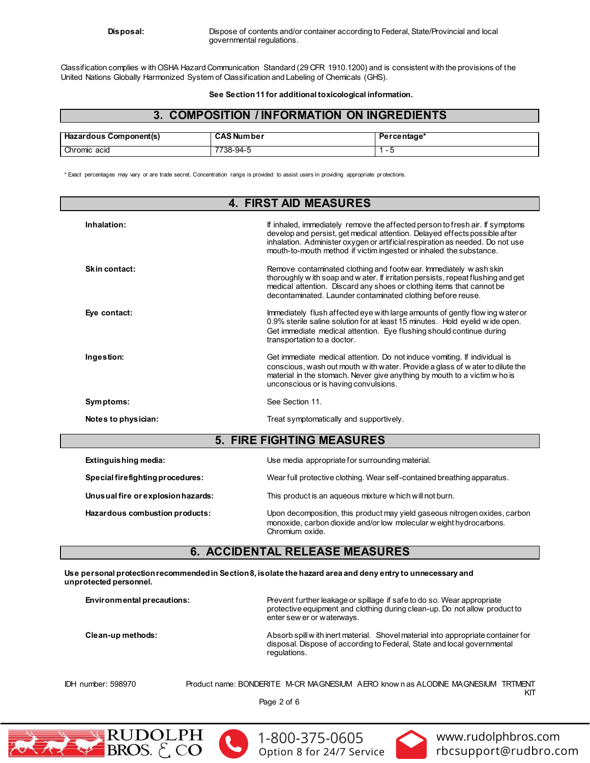Classification complies w ith OSHA Hazard Communication Standard (29 CFR 1910.1200) and is consistent with the provisions of the United Nations Globally Harmonized System of Classification and Labeling of Chemicals (GHS).

**See Section 11 for additional toxicological information.**

# **3. COMPOSITION / INFORMATION ON INGREDIENTS**

| Hazardous Component(s) | <b>CAS Number</b> | Percentage* |
|------------------------|-------------------|-------------|
| Chromic acid           | -7738-94-5        |             |

\* Exact percentages may vary or are trade secret. Concentration range is provided to assist users in providing appropriate pr otections.

| <b>4. FIRST AID MEASURES</b>       |                                                                                                                                                                                                                                                                                                                   |  |  |  |
|------------------------------------|-------------------------------------------------------------------------------------------------------------------------------------------------------------------------------------------------------------------------------------------------------------------------------------------------------------------|--|--|--|
| Inhalation:                        | If inhaled, immediately remove the affected person to fresh air. If symptoms<br>develop and persist, get medical attention. Delayed effects possible after<br>inhalation. Administer oxygen or artificial respiration as needed. Do not use<br>mouth-to-mouth method if victim ingested or inhaled the substance. |  |  |  |
| Skin contact:                      | Remove contaminated clothing and footwear. Immediately wash skin<br>thoroughly w ith soap and w ater. If irritation persists, repeat flushing and get<br>medical attention. Discard any shoes or clothing items that cannot be<br>decontaminated. Launder contaminated clothing before reuse.                     |  |  |  |
| Eye contact:                       | Immediately flush affected eye with large amounts of gently flow ing water or<br>0.9% sterile saline solution for at least 15 minutes. Hold eyelid wide open.<br>Get immediate medical attention. Eye flushing should continue during<br>transportation to a doctor.                                              |  |  |  |
| Ingestion:                         | Get immediate medical attention. Do not induce vomiting. If individual is<br>conscious, wash out mouth w ith water. Provide a glass of water to dilute the<br>material in the stomach. Never give anything by mouth to a victim w ho is<br>unconscious or is having convulsions.                                  |  |  |  |
| Symptoms:                          | See Section 11.                                                                                                                                                                                                                                                                                                   |  |  |  |
| Notes to physician:                | Treat symptomatically and supportively.                                                                                                                                                                                                                                                                           |  |  |  |
|                                    | <b>5. FIRE FIGHTING MEASURES</b>                                                                                                                                                                                                                                                                                  |  |  |  |
| Extinguishing media:               | Use media appropriate for surrounding material.                                                                                                                                                                                                                                                                   |  |  |  |
| Special firefighting procedures:   | Wear full protective clothing. Wear self-contained breathing apparatus.                                                                                                                                                                                                                                           |  |  |  |
| Unusual fire or explosion hazards: | This product is an aqueous mixture w hich will not burn.                                                                                                                                                                                                                                                          |  |  |  |
| Hazardous combustion products:     | Upon decomposition, this product may yield gaseous nitrogen oxides, carbon<br>monoxide, carbon dioxide and/or low molecular w eight hydrocarbons.<br>Chromium oxide.                                                                                                                                              |  |  |  |

## **6. ACCIDENTAL RELEASE MEASURES**

**Use personal protection recommended in Section 8, isolate the hazard area and deny entry to unnecessary and unprotected personnel.**

| Environmental precautions: | Prevent further leakage or spillage if safe to do so. Wear appropriate<br>protective equipment and clothing during clean-up. Do not allow product to<br>enter sew er or waterways. |
|----------------------------|------------------------------------------------------------------------------------------------------------------------------------------------------------------------------------|
| Clean-up methods:          | Absorb spill w ith inert material. Shovel material into appropriate container for<br>disposal. Dispose of according to Federal, State and local governmental<br>regulations.       |

IDH number: 598970 Product name: BONDERITE M-CR MAGNESIUM AERO know n as ALODINE MAGNESIUM TRTMENT KIT

Page 2 of 6







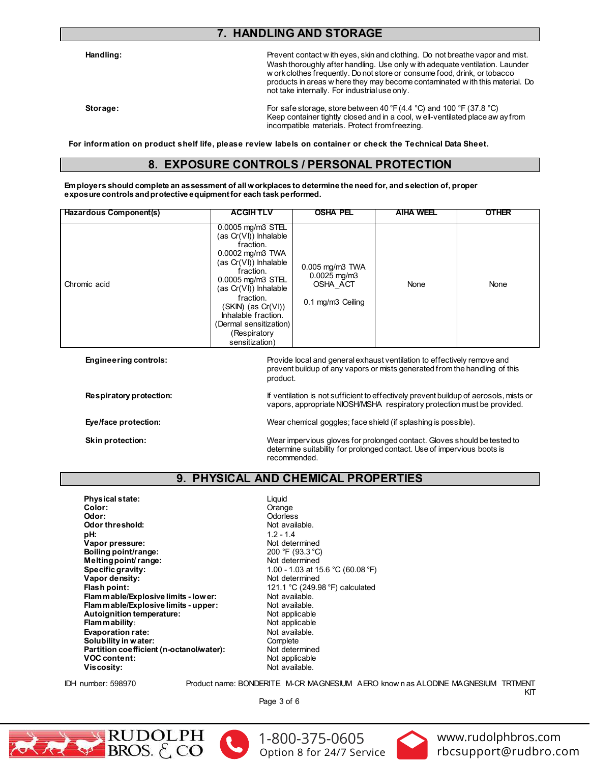# **7. HANDLING AND STORAGE**

**Handling:** Prevent contact w ith eyes, skin and clothing. Do not breathe vapor and mist. Wash thoroughly after handling. Use only w ith adequate ventilation. Launder w ork clothes frequently. Do not store or consume food, drink, or tobacco products in areas w here they may become contaminated w ith this material. Do not take internally. For industrial use only.

**Storage:** For safe storage, store between 40 °F (4.4 °C) and 100 °F (37.8 °C) Keep container tightly closed and in a cool, w ell-ventilated place aw ay from incompatible materials. Protect from freezing.

**For information on product shelf life, please review labels on container or check the Technical Data Sheet.**

### **8. EXPOSURE CONTROLS / PERSONAL PROTECTION**

**Employers should complete an assessment of all workplaces to determine the need for, and selection of, proper exposure controls and protective equipment for each task performed.**

| Hazardous Component(s) | <b>ACGIHTLV</b>                                                                                                                                                                                                                                                                         | <b>OSHA PEL</b>                                                       | <b>AIHA WEEL</b> | <b>OTHER</b> |
|------------------------|-----------------------------------------------------------------------------------------------------------------------------------------------------------------------------------------------------------------------------------------------------------------------------------------|-----------------------------------------------------------------------|------------------|--------------|
| Chromic acid           | 0.0005 mg/m3 STEL<br>$(as Cr(VI))$ Inhalable<br>fraction.<br>0.0002 mg/m3 TWA<br>(as Cr(VI)) Inhalable<br>fraction.<br>0.0005 mg/m3 STEL<br>(as Cr(VI)) Inhalable<br>fraction.<br>(SKIN) (as Cr(VI))<br>Inhalable fraction.<br>(Dermal sensitization)<br>(Respiratory<br>sensitization) | 0.005 mg/m3 TWA<br>$0.0025$ mg/m $3$<br>OSHA ACT<br>0.1 mg/m3 Ceiling | None             | None         |

| <b>Engineering controls:</b> | Provide local and general exhaust ventilation to effectively remove and<br>prevent buildup of any vapors or mists generated from the handling of this<br>product.   |
|------------------------------|---------------------------------------------------------------------------------------------------------------------------------------------------------------------|
| Respiratory protection:      | If ventilation is not sufficient to effectively prevent buildup of aerosols, mists or<br>vapors, appropriate NIOSH/MSHA respiratory protection must be provided.    |
| Eye/face protection:         | Wear chemical goggles; face shield (if splashing is possible).                                                                                                      |
| Skin protection:             | Wear impervious gloves for prolonged contact. Gloves should be tested to<br>determine suitability for prolonged contact. Use of impervious boots is<br>recommended. |

# **9. PHYSICAL AND CHEMICAL PROPERTIES**

**Physical state:** Liquid Color: Liquid Color: **Color:** Color: Color: Color: Color: Color: Color: Color: Color: Color: Color: Color: Color: Color: Color: Color: Color: Color: Color: Color: Color: Color: Color: Color: Color: Color: Color: Color: Color: Color: Color: Col **Odor threshold:**<br>pH: **Vapor pressure:** Not determined **Boiling point/range: Melting point/ range:** Not determined **Specific gravity:**  $1.00 - 1.03$  at  $15.6 °C (60.08 °F)$ **Vapor density:** Not determined **Flammable/Explosive limits - lower:** Not available.<br> **Flammable/Explosive limits - upper:** Not available. **Flammable/Explosive limits - upper:** Not available.<br> **Autoignition temperature:** Not applicable **Autoignition temperature:** Not applicable **Flammability: Evaporation rate:**<br> **Solubility in water:** Not available.<br>
Complete **Solubility in water:** Complete Complete<br> **Partition coefficient (n-octanol/water):** Not determined **Partition coefficient (n-octanol/water):** Not determined<br>VOC content: Not applicable **VOC content: Viscosity:** Not available.

**Odorless**<br>Not available. **pH:** 1.2 - 1.4 **Flash point:** 121.1 °C (249.98 °F) calculated

IDH number: 598970 Product name: BONDERITE M-CR MAGNESIUM AERO know n as ALODINE MAGNESIUM TRTMENT KIT

Page 3 of 6





[1-800-375-0605](tel:+118003750605) Option 8 for 24/7 Service

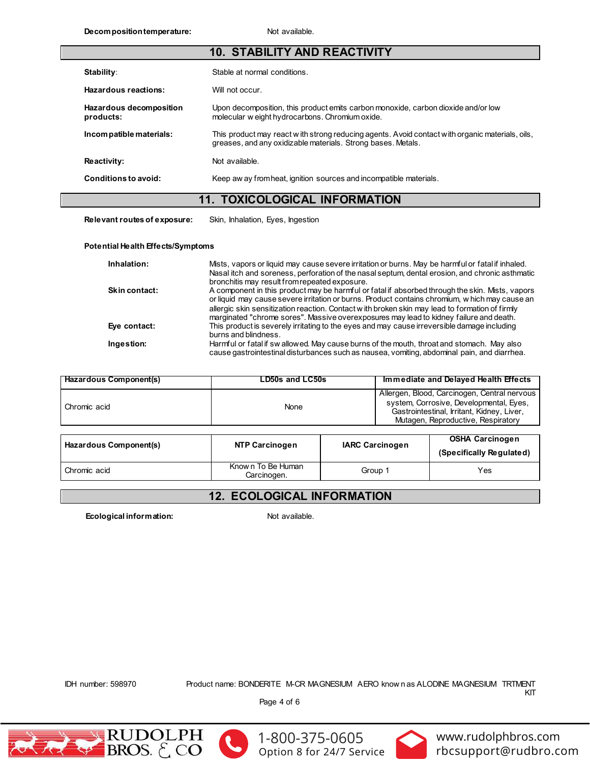| 10. STABILITY AND REACTIVITY         |                                                                                                                                                                 |  |  |
|--------------------------------------|-----------------------------------------------------------------------------------------------------------------------------------------------------------------|--|--|
| Stability:                           | Stable at normal conditions.                                                                                                                                    |  |  |
| Hazardous reactions:                 | Will not occur.                                                                                                                                                 |  |  |
| Hazardous decomposition<br>products: | Upon decomposition, this product emits carbon monoxide, carbon dioxide and/or low<br>molecular w eight hydrocarbons. Chromium oxide.                            |  |  |
| Incompatible materials:              | This product may react with strong reducing agents. Avoid contact with organic materials, oils,<br>greases, and any oxidizable materials. Strong bases. Metals. |  |  |
| Reactivity:                          | Not available.                                                                                                                                                  |  |  |
| Conditions to avoid:                 | Keep aw ay from heat, ignition sources and incompatible materials.                                                                                              |  |  |
|                                      | <b>11. TOXICOLOGICAL INFORMATION</b>                                                                                                                            |  |  |

**Relevant routes of exposure:** Skin, Inhalation, Eyes, Ingestion

#### **Potential Health Effects/Symptoms**

| Inhalation:          | Mists, vapors or liquid may cause severe irritation or burns. May be harmful or fatal if inhaled.                                                                                                                                                                                                                                                                                             |
|----------------------|-----------------------------------------------------------------------------------------------------------------------------------------------------------------------------------------------------------------------------------------------------------------------------------------------------------------------------------------------------------------------------------------------|
|                      | Nasal itch and soreness, perforation of the nasal septum, dental erosion, and chronic asthmatic<br>bronchitis may result from repeated exposure.                                                                                                                                                                                                                                              |
| <b>Skin contact:</b> | A component in this product may be harmful or fatal if absorbed through the skin. Mists, vapors<br>or liquid may cause severe irritation or burns. Product contains chromium, w hich may cause an<br>allergic skin sensitization reaction. Contact with broken skin may lead to formation of firmly<br>marginated "chrome sores". Massive overexposures may lead to kidney failure and death. |
| Eye contact:         | This product is severely irritating to the eyes and may cause irreversible damage including<br>burns and blindness.                                                                                                                                                                                                                                                                           |
| Ingestion:           | Harmful or fatal if sw allowed. May cause burns of the mouth, throat and stomach. May also<br>cause gastrointestinal disturbances such as nausea, vomiting, abdominal pain, and diarrhea.                                                                                                                                                                                                     |

| Hazardous Component(s) | LD50s and LC50s | Immediate and Delayed Health Effects                                                                                                                                        |  |
|------------------------|-----------------|-----------------------------------------------------------------------------------------------------------------------------------------------------------------------------|--|
| Chromic acid           | None            | Allergen, Blood, Carcinogen, Central nervous<br>system, Corrosive, Developmental, Eyes,<br>Gastrointestinal, Irritant, Kidney, Liver,<br>Mutagen, Reproductive, Respiratory |  |
|                        |                 |                                                                                                                                                                             |  |

| Hazardous Component(s) | <b>NTP Carcinogen</b>            | <b>IARC Carcinogen</b> | <b>OSHA Carcinogen</b><br>(Specifically Regulated) |
|------------------------|----------------------------------|------------------------|----------------------------------------------------|
| Chromic acid           | Known To Be Human<br>Carcinogen. | Group 1                | Yes                                                |

# **12. ECOLOGICAL INFORMATION**

**Ecological information:** Not available.

IDH number: 598970 Product name: BONDERITE M-CR MAGNESIUM AERO know n as ALODINE MAGNESIUM TRTMENT KIT

Page 4 of 6







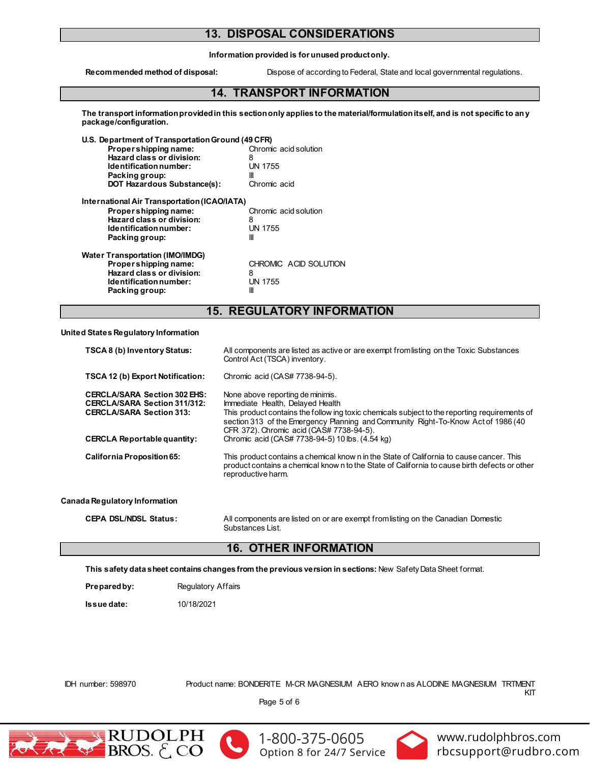# **13. DISPOSAL CONSIDERATIONS**

**Information provided is for unused product only.**

**Recommended method of disposal:** Dispose of according to Federal, State and local governmental regulations.

### **14. TRANSPORT INFORMATION**

**The transport information provided in this section only applies to the material/formulation itself, and is not specific to any package/configuration.**

| U.S. Department of Transportation Ground (49 CFR) |                       |
|---------------------------------------------------|-----------------------|
| Propershipping name:                              | Chromic acid solution |
| Hazard class or division:                         | 8                     |
| Identification number:                            | <b>UN 1755</b>        |
| Packing group:                                    | Ш                     |
| <b>DOT Hazardous Substance(s):</b>                | Chromic acid          |
| International Air Transportation (ICAO/IATA)      |                       |
| Propershipping name:                              | Chromic acid solution |
| Hazard class or division:                         | 8                     |
| Identification number:                            | <b>UN 1755</b>        |
| Packing group:                                    | Ш                     |
| <b>Water Transportation (IMO/IMDG)</b>            |                       |
| Propershipping name:                              | CHROMIC ACID SOLUTION |
| Hazard class or division:                         | 8                     |
| Identification number:                            | <b>UN 1755</b>        |
| Packing group:                                    | Ш                     |

### **15. REGULATORY INFORMATION**

**United States Regulatory Information**

| <b>TSCA 8 (b) Inventory Status:</b>                                                                                                          | All components are listed as active or are exempt from listing on the Toxic Substances<br>Control Act (TSCA) inventory.                                                                                                                                                                                                                                   |
|----------------------------------------------------------------------------------------------------------------------------------------------|-----------------------------------------------------------------------------------------------------------------------------------------------------------------------------------------------------------------------------------------------------------------------------------------------------------------------------------------------------------|
| <b>TSCA 12 (b) Export Notification:</b>                                                                                                      | Chromic acid (CAS# 7738-94-5).                                                                                                                                                                                                                                                                                                                            |
| <b>CERCLA/SARA Section 302 EHS:</b><br>CERCLA/SARA Section 311/312:<br><b>CERCLA/SARA Section 313:</b><br><b>CERCLA Reportable quantity:</b> | None above reporting de minimis.<br>Immediate Health, Delayed Health<br>This product contains the follow ing toxic chemicals subject to the reporting requirements of<br>section 313 of the Emergency Planning and Community Right-To-Know Act of 1986 (40<br>CFR 372). Chromic acid (CAS# 7738-94-5).<br>Chromic acid (CAS# 7738-94-5) 10 lbs. (4.54 kg) |
| <b>California Proposition 65:</b>                                                                                                            | This product contains a chemical know n in the State of California to cause cancer. This<br>product contains a chemical know n to the State of California to cause birth defects or other<br>reproductive harm.                                                                                                                                           |
| Canada Regulatory Information                                                                                                                |                                                                                                                                                                                                                                                                                                                                                           |
| <b>CEPA DSL/NDSL Status:</b>                                                                                                                 | All components are listed on or are exempt from listing on the Canadian Domestic                                                                                                                                                                                                                                                                          |

#### Substances List.

# **16. OTHER INFORMATION**

**This safety data sheet contains changes from the previous version in sections:** New Safety Data Sheet format.

**Prepared by:** Regulatory Affairs

**Issue date:** 10/18/2021

IDH number: 598970 Product name: BONDERITE M-CR MAGNESIUM AERO know n as ALODINE MAGNESIUM TRTMENT KIT

Page 5 of 6